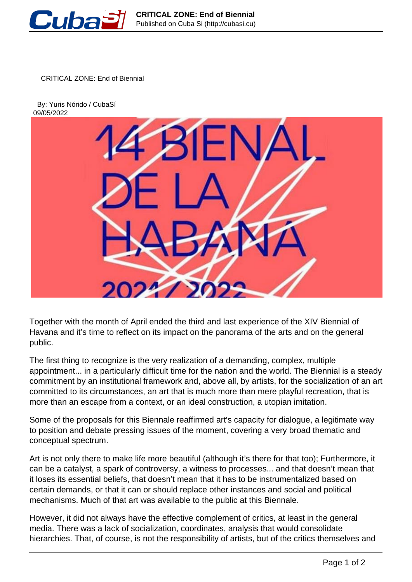

CRITICAL ZONE: End of Biennial

 By: Yuris Nórido / CubaSí 09/05/2022



Together with the month of April ended the third and last experience of the XIV Biennial of Havana and it's time to reflect on its impact on the panorama of the arts and on the general public.

The first thing to recognize is the very realization of a demanding, complex, multiple appointment... in a particularly difficult time for the nation and the world. The Biennial is a steady commitment by an institutional framework and, above all, by artists, for the socialization of an art committed to its circumstances, an art that is much more than mere playful recreation, that is more than an escape from a context, or an ideal construction, a utopian imitation.

Some of the proposals for this Biennale reaffirmed art's capacity for dialogue, a legitimate way to position and debate pressing issues of the moment, covering a very broad thematic and conceptual spectrum.

Art is not only there to make life more beautiful (although it's there for that too); Furthermore, it can be a catalyst, a spark of controversy, a witness to processes... and that doesn't mean that it loses its essential beliefs, that doesn't mean that it has to be instrumentalized based on certain demands, or that it can or should replace other instances and social and political mechanisms. Much of that art was available to the public at this Biennale.

However, it did not always have the effective complement of critics, at least in the general media. There was a lack of socialization, coordinates, analysis that would consolidate hierarchies. That, of course, is not the responsibility of artists, but of the critics themselves and